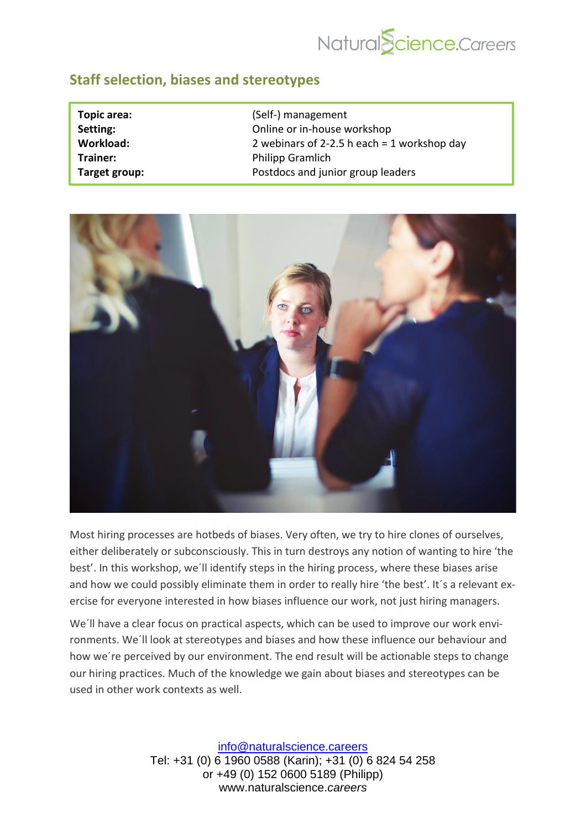

## **Staff selection, biases and stereotypes**

| Topic area:   | (Self-) management                            |
|---------------|-----------------------------------------------|
| Setting:      | Online or in-house workshop                   |
| Workload:     | 2 webinars of 2-2.5 h each $=$ 1 workshop day |
| Trainer:      | <b>Philipp Gramlich</b>                       |
| Target group: | Postdocs and junior group leaders             |



Most hiring processes are hotbeds of biases. Very often, we try to hire clones of ourselves, either deliberately or subconsciously. This in turn destroys any notion of wanting to hire 'the best'. In this workshop, we´ll identify steps in the hiring process, where these biases arise and how we could possibly eliminate them in order to really hire 'the best'. It's a relevant exercise for everyone interested in how biases influence our work, not just hiring managers.

We´ll have a clear focus on practical aspects, which can be used to improve our work environments. We´ll look at stereotypes and biases and how these influence our behaviour and how we´re perceived by our environment. The end result will be actionable steps to change our hiring practices. Much of the knowledge we gain about biases and stereotypes can be used in other work contexts as well.

> [info@naturalscience.careers](mailto:academy@naturalscience.careers) Tel: +31 (0) 6 1960 0588 (Karin); +31 (0) 6 824 54 258 or +49 (0) 152 0600 5189 (Philipp) www.naturalscience.*careers*